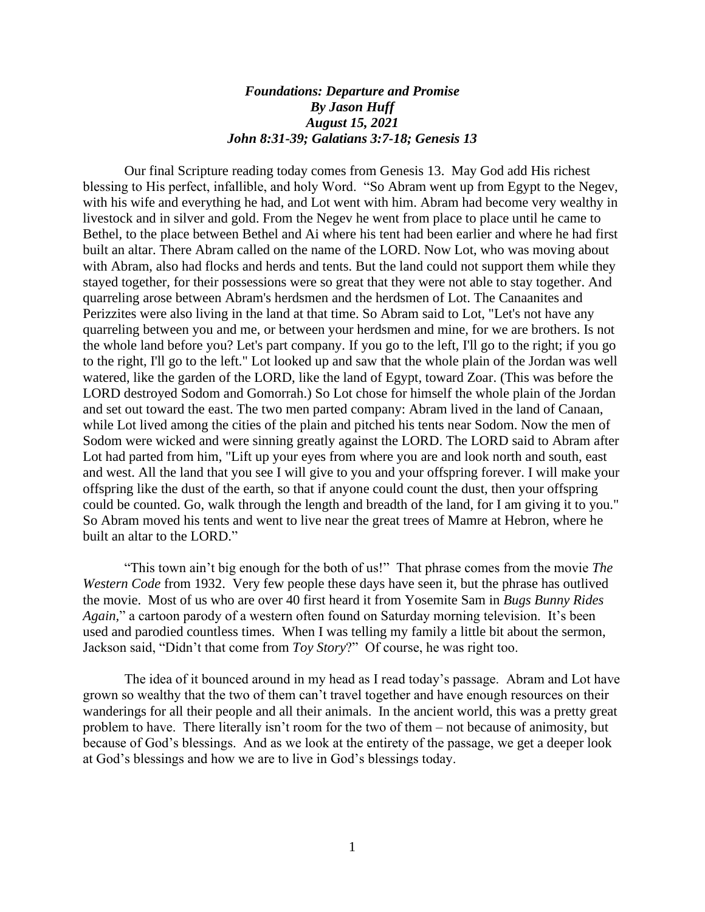## *Foundations: Departure and Promise By Jason Huff August 15, 2021 John 8:31-39; Galatians 3:7-18; Genesis 13*

Our final Scripture reading today comes from Genesis 13. May God add His richest blessing to His perfect, infallible, and holy Word. "So Abram went up from Egypt to the Negev, with his wife and everything he had, and Lot went with him. Abram had become very wealthy in livestock and in silver and gold. From the Negev he went from place to place until he came to Bethel, to the place between Bethel and Ai where his tent had been earlier and where he had first built an altar. There Abram called on the name of the LORD. Now Lot, who was moving about with Abram, also had flocks and herds and tents. But the land could not support them while they stayed together, for their possessions were so great that they were not able to stay together. And quarreling arose between Abram's herdsmen and the herdsmen of Lot. The Canaanites and Perizzites were also living in the land at that time. So Abram said to Lot, "Let's not have any quarreling between you and me, or between your herdsmen and mine, for we are brothers. Is not the whole land before you? Let's part company. If you go to the left, I'll go to the right; if you go to the right, I'll go to the left." Lot looked up and saw that the whole plain of the Jordan was well watered, like the garden of the LORD, like the land of Egypt, toward Zoar. (This was before the LORD destroyed Sodom and Gomorrah.) So Lot chose for himself the whole plain of the Jordan and set out toward the east. The two men parted company: Abram lived in the land of Canaan, while Lot lived among the cities of the plain and pitched his tents near Sodom. Now the men of Sodom were wicked and were sinning greatly against the LORD. The LORD said to Abram after Lot had parted from him, "Lift up your eyes from where you are and look north and south, east and west. All the land that you see I will give to you and your offspring forever. I will make your offspring like the dust of the earth, so that if anyone could count the dust, then your offspring could be counted. Go, walk through the length and breadth of the land, for I am giving it to you." So Abram moved his tents and went to live near the great trees of Mamre at Hebron, where he built an altar to the LORD."

"This town ain't big enough for the both of us!" That phrase comes from the movie *The Western Code* from 1932. Very few people these days have seen it, but the phrase has outlived the movie. Most of us who are over 40 first heard it from Yosemite Sam in *Bugs Bunny Rides Again,*" a cartoon parody of a western often found on Saturday morning television. It's been used and parodied countless times. When I was telling my family a little bit about the sermon, Jackson said, "Didn't that come from *Toy Story*?" Of course, he was right too.

The idea of it bounced around in my head as I read today's passage. Abram and Lot have grown so wealthy that the two of them can't travel together and have enough resources on their wanderings for all their people and all their animals. In the ancient world, this was a pretty great problem to have. There literally isn't room for the two of them – not because of animosity, but because of God's blessings. And as we look at the entirety of the passage, we get a deeper look at God's blessings and how we are to live in God's blessings today.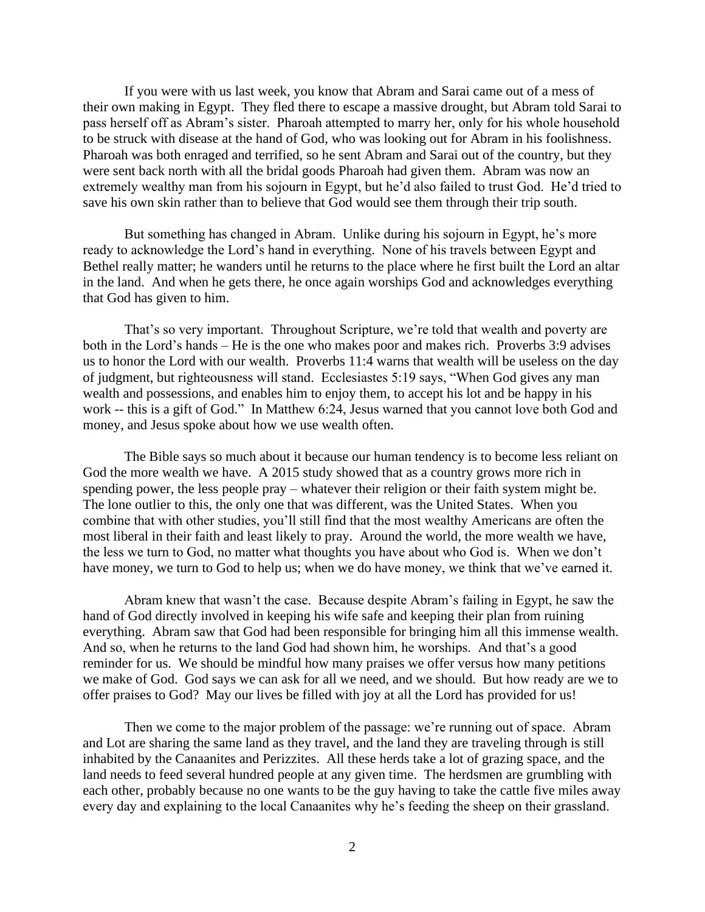If you were with us last week, you know that Abram and Sarai came out of a mess of their own making in Egypt. They fled there to escape a massive drought, but Abram told Sarai to pass herself off as Abram's sister. Pharoah attempted to marry her, only for his whole household to be struck with disease at the hand of God, who was looking out for Abram in his foolishness. Pharoah was both enraged and terrified, so he sent Abram and Sarai out of the country, but they were sent back north with all the bridal goods Pharoah had given them. Abram was now an extremely wealthy man from his sojourn in Egypt, but he'd also failed to trust God. He'd tried to save his own skin rather than to believe that God would see them through their trip south.

But something has changed in Abram. Unlike during his sojourn in Egypt, he's more ready to acknowledge the Lord's hand in everything. None of his travels between Egypt and Bethel really matter; he wanders until he returns to the place where he first built the Lord an altar in the land. And when he gets there, he once again worships God and acknowledges everything that God has given to him.

That's so very important. Throughout Scripture, we're told that wealth and poverty are both in the Lord's hands – He is the one who makes poor and makes rich. Proverbs 3:9 advises us to honor the Lord with our wealth. Proverbs 11:4 warns that wealth will be useless on the day of judgment, but righteousness will stand. Ecclesiastes 5:19 says, "When God gives any man wealth and possessions, and enables him to enjoy them, to accept his lot and be happy in his work -- this is a gift of God." In Matthew 6:24, Jesus warned that you cannot love both God and money, and Jesus spoke about how we use wealth often.

The Bible says so much about it because our human tendency is to become less reliant on God the more wealth we have. A 2015 study showed that as a country grows more rich in spending power, the less people pray – whatever their religion or their faith system might be. The lone outlier to this, the only one that was different, was the United States. When you combine that with other studies, you'll still find that the most wealthy Americans are often the most liberal in their faith and least likely to pray. Around the world, the more wealth we have, the less we turn to God, no matter what thoughts you have about who God is. When we don't have money, we turn to God to help us; when we do have money, we think that we've earned it.

Abram knew that wasn't the case. Because despite Abram's failing in Egypt, he saw the hand of God directly involved in keeping his wife safe and keeping their plan from ruining everything. Abram saw that God had been responsible for bringing him all this immense wealth. And so, when he returns to the land God had shown him, he worships. And that's a good reminder for us. We should be mindful how many praises we offer versus how many petitions we make of God. God says we can ask for all we need, and we should. But how ready are we to offer praises to God? May our lives be filled with joy at all the Lord has provided for us!

Then we come to the major problem of the passage: we're running out of space. Abram and Lot are sharing the same land as they travel, and the land they are traveling through is still inhabited by the Canaanites and Perizzites. All these herds take a lot of grazing space, and the land needs to feed several hundred people at any given time. The herdsmen are grumbling with each other, probably because no one wants to be the guy having to take the cattle five miles away every day and explaining to the local Canaanites why he's feeding the sheep on their grassland.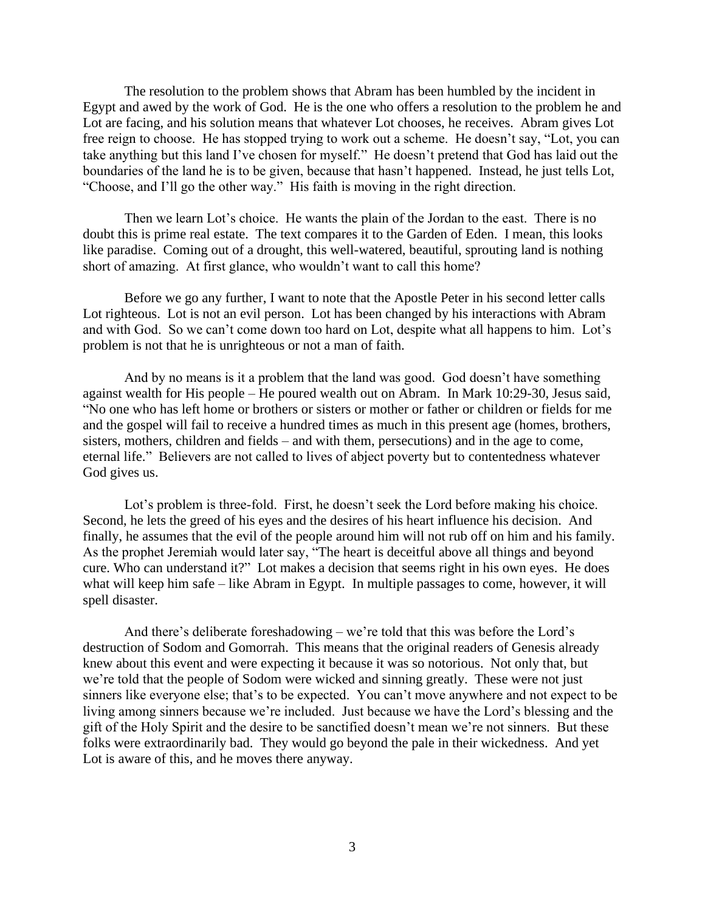The resolution to the problem shows that Abram has been humbled by the incident in Egypt and awed by the work of God. He is the one who offers a resolution to the problem he and Lot are facing, and his solution means that whatever Lot chooses, he receives. Abram gives Lot free reign to choose. He has stopped trying to work out a scheme. He doesn't say, "Lot, you can take anything but this land I've chosen for myself." He doesn't pretend that God has laid out the boundaries of the land he is to be given, because that hasn't happened. Instead, he just tells Lot, "Choose, and I'll go the other way." His faith is moving in the right direction.

Then we learn Lot's choice. He wants the plain of the Jordan to the east. There is no doubt this is prime real estate. The text compares it to the Garden of Eden. I mean, this looks like paradise. Coming out of a drought, this well-watered, beautiful, sprouting land is nothing short of amazing. At first glance, who wouldn't want to call this home?

Before we go any further, I want to note that the Apostle Peter in his second letter calls Lot righteous. Lot is not an evil person. Lot has been changed by his interactions with Abram and with God. So we can't come down too hard on Lot, despite what all happens to him. Lot's problem is not that he is unrighteous or not a man of faith.

And by no means is it a problem that the land was good. God doesn't have something against wealth for His people – He poured wealth out on Abram. In Mark 10:29-30, Jesus said, "No one who has left home or brothers or sisters or mother or father or children or fields for me and the gospel will fail to receive a hundred times as much in this present age (homes, brothers, sisters, mothers, children and fields – and with them, persecutions) and in the age to come, eternal life." Believers are not called to lives of abject poverty but to contentedness whatever God gives us.

Lot's problem is three-fold. First, he doesn't seek the Lord before making his choice. Second, he lets the greed of his eyes and the desires of his heart influence his decision. And finally, he assumes that the evil of the people around him will not rub off on him and his family. As the prophet Jeremiah would later say, "The heart is deceitful above all things and beyond cure. Who can understand it?" Lot makes a decision that seems right in his own eyes. He does what will keep him safe – like Abram in Egypt. In multiple passages to come, however, it will spell disaster.

And there's deliberate foreshadowing – we're told that this was before the Lord's destruction of Sodom and Gomorrah. This means that the original readers of Genesis already knew about this event and were expecting it because it was so notorious. Not only that, but we're told that the people of Sodom were wicked and sinning greatly. These were not just sinners like everyone else; that's to be expected. You can't move anywhere and not expect to be living among sinners because we're included. Just because we have the Lord's blessing and the gift of the Holy Spirit and the desire to be sanctified doesn't mean we're not sinners. But these folks were extraordinarily bad. They would go beyond the pale in their wickedness. And yet Lot is aware of this, and he moves there anyway.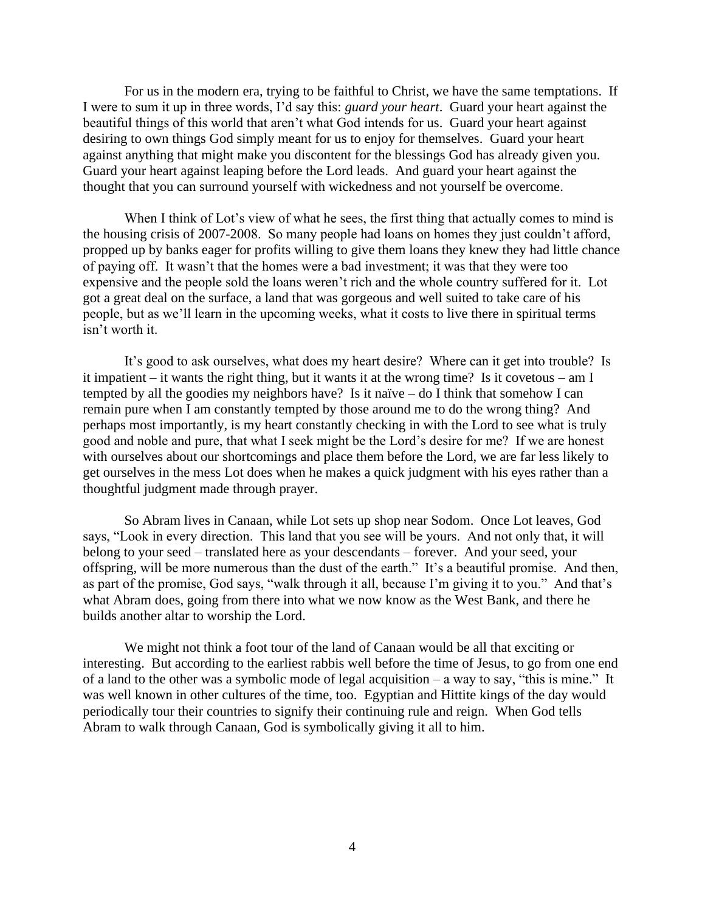For us in the modern era, trying to be faithful to Christ, we have the same temptations. If I were to sum it up in three words, I'd say this: *guard your heart*. Guard your heart against the beautiful things of this world that aren't what God intends for us. Guard your heart against desiring to own things God simply meant for us to enjoy for themselves. Guard your heart against anything that might make you discontent for the blessings God has already given you. Guard your heart against leaping before the Lord leads. And guard your heart against the thought that you can surround yourself with wickedness and not yourself be overcome.

When I think of Lot's view of what he sees, the first thing that actually comes to mind is the housing crisis of 2007-2008. So many people had loans on homes they just couldn't afford, propped up by banks eager for profits willing to give them loans they knew they had little chance of paying off. It wasn't that the homes were a bad investment; it was that they were too expensive and the people sold the loans weren't rich and the whole country suffered for it. Lot got a great deal on the surface, a land that was gorgeous and well suited to take care of his people, but as we'll learn in the upcoming weeks, what it costs to live there in spiritual terms isn't worth it.

It's good to ask ourselves, what does my heart desire? Where can it get into trouble? Is it impatient – it wants the right thing, but it wants it at the wrong time? Is it covetous – am I tempted by all the goodies my neighbors have? Is it naïve – do I think that somehow I can remain pure when I am constantly tempted by those around me to do the wrong thing? And perhaps most importantly, is my heart constantly checking in with the Lord to see what is truly good and noble and pure, that what I seek might be the Lord's desire for me? If we are honest with ourselves about our shortcomings and place them before the Lord, we are far less likely to get ourselves in the mess Lot does when he makes a quick judgment with his eyes rather than a thoughtful judgment made through prayer.

So Abram lives in Canaan, while Lot sets up shop near Sodom. Once Lot leaves, God says, "Look in every direction. This land that you see will be yours. And not only that, it will belong to your seed – translated here as your descendants – forever. And your seed, your offspring, will be more numerous than the dust of the earth." It's a beautiful promise. And then, as part of the promise, God says, "walk through it all, because I'm giving it to you." And that's what Abram does, going from there into what we now know as the West Bank, and there he builds another altar to worship the Lord.

We might not think a foot tour of the land of Canaan would be all that exciting or interesting. But according to the earliest rabbis well before the time of Jesus, to go from one end of a land to the other was a symbolic mode of legal acquisition – a way to say, "this is mine." It was well known in other cultures of the time, too. Egyptian and Hittite kings of the day would periodically tour their countries to signify their continuing rule and reign. When God tells Abram to walk through Canaan, God is symbolically giving it all to him.